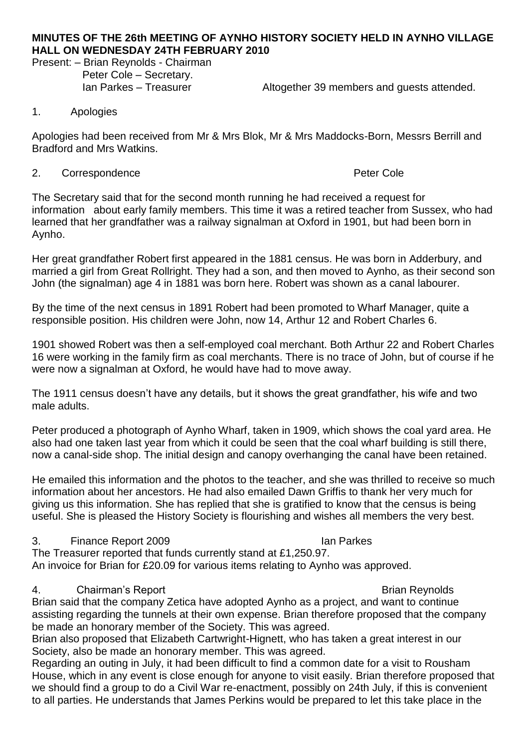## **MINUTES OF THE 26th MEETING OF AYNHO HISTORY SOCIETY HELD IN AYNHO VILLAGE HALL ON WEDNESDAY 24TH FEBRUARY 2010**

Present: – Brian Reynolds - Chairman Peter Cole – Secretary.

Ian Parkes – Treasurer **Altogether 39 members and guests attended.** 

### 1. Apologies

Apologies had been received from Mr & Mrs Blok, Mr & Mrs Maddocks-Born, Messrs Berrill and Bradford and Mrs Watkins.

### 2. Correspondence **Peter Cole**

The Secretary said that for the second month running he had received a request for information about early family members. This time it was a retired teacher from Sussex, who had learned that her grandfather was a railway signalman at Oxford in 1901, but had been born in Aynho.

Her great grandfather Robert first appeared in the 1881 census. He was born in Adderbury, and married a girl from Great Rollright. They had a son, and then moved to Aynho, as their second son John (the signalman) age 4 in 1881 was born here. Robert was shown as a canal labourer.

By the time of the next census in 1891 Robert had been promoted to Wharf Manager, quite a responsible position. His children were John, now 14, Arthur 12 and Robert Charles 6.

1901 showed Robert was then a self-employed coal merchant. Both Arthur 22 and Robert Charles 16 were working in the family firm as coal merchants. There is no trace of John, but of course if he were now a signalman at Oxford, he would have had to move away.

The 1911 census doesn't have any details, but it shows the great grandfather, his wife and two male adults.

Peter produced a photograph of Aynho Wharf, taken in 1909, which shows the coal yard area. He also had one taken last year from which it could be seen that the coal wharf building is still there, now a canal-side shop. The initial design and canopy overhanging the canal have been retained.

He emailed this information and the photos to the teacher, and she was thrilled to receive so much information about her ancestors. He had also emailed Dawn Griffis to thank her very much for giving us this information. She has replied that she is gratified to know that the census is being useful. She is pleased the History Society is flourishing and wishes all members the very best.

## 3. Finance Report 2009 **Ian Parkes**

The Treasurer reported that funds currently stand at £1,250.97. An invoice for Brian for £20.09 for various items relating to Aynho was approved.

# 4. Chairman's Report **Brian Reynolds Brian Reynolds**

Brian said that the company Zetica have adopted Aynho as a project, and want to continue assisting regarding the tunnels at their own expense. Brian therefore proposed that the company be made an honorary member of the Society. This was agreed.

Brian also proposed that Elizabeth Cartwright-Hignett, who has taken a great interest in our Society, also be made an honorary member. This was agreed.

Regarding an outing in July, it had been difficult to find a common date for a visit to Rousham House, which in any event is close enough for anyone to visit easily. Brian therefore proposed that we should find a group to do a Civil War re-enactment, possibly on 24th July, if this is convenient to all parties. He understands that James Perkins would be prepared to let this take place in the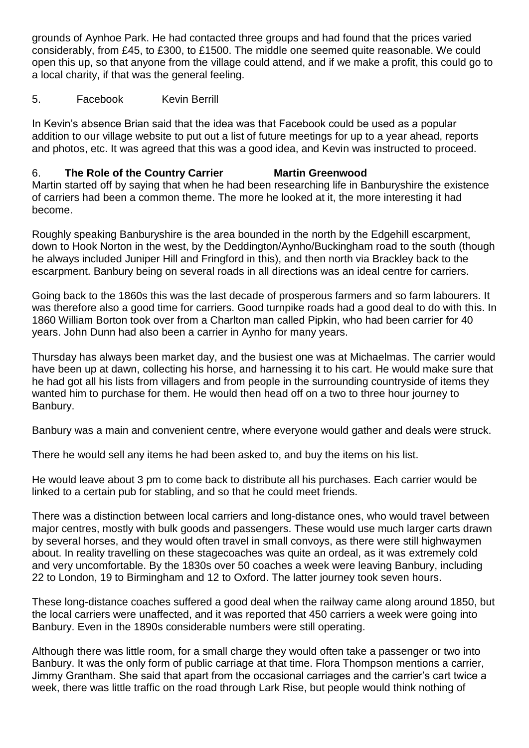grounds of Aynhoe Park. He had contacted three groups and had found that the prices varied considerably, from £45, to £300, to £1500. The middle one seemed quite reasonable. We could open this up, so that anyone from the village could attend, and if we make a profit, this could go to a local charity, if that was the general feeling.

# 5. Facebook Kevin Berrill

In Kevin's absence Brian said that the idea was that Facebook could be used as a popular addition to our village website to put out a list of future meetings for up to a year ahead, reports and photos, etc. It was agreed that this was a good idea, and Kevin was instructed to proceed.

# 6. **The Role of the Country Carrier Martin Greenwood**

Martin started off by saying that when he had been researching life in Banburyshire the existence of carriers had been a common theme. The more he looked at it, the more interesting it had become.

Roughly speaking Banburyshire is the area bounded in the north by the Edgehill escarpment, down to Hook Norton in the west, by the Deddington/Aynho/Buckingham road to the south (though he always included Juniper Hill and Fringford in this), and then north via Brackley back to the escarpment. Banbury being on several roads in all directions was an ideal centre for carriers.

Going back to the 1860s this was the last decade of prosperous farmers and so farm labourers. It was therefore also a good time for carriers. Good turnpike roads had a good deal to do with this. In 1860 William Borton took over from a Charlton man called Pipkin, who had been carrier for 40 years. John Dunn had also been a carrier in Aynho for many years.

Thursday has always been market day, and the busiest one was at Michaelmas. The carrier would have been up at dawn, collecting his horse, and harnessing it to his cart. He would make sure that he had got all his lists from villagers and from people in the surrounding countryside of items they wanted him to purchase for them. He would then head off on a two to three hour journey to Banbury.

Banbury was a main and convenient centre, where everyone would gather and deals were struck.

There he would sell any items he had been asked to, and buy the items on his list.

He would leave about 3 pm to come back to distribute all his purchases. Each carrier would be linked to a certain pub for stabling, and so that he could meet friends.

There was a distinction between local carriers and long-distance ones, who would travel between major centres, mostly with bulk goods and passengers. These would use much larger carts drawn by several horses, and they would often travel in small convoys, as there were still highwaymen about. In reality travelling on these stagecoaches was quite an ordeal, as it was extremely cold and very uncomfortable. By the 1830s over 50 coaches a week were leaving Banbury, including 22 to London, 19 to Birmingham and 12 to Oxford. The latter journey took seven hours.

These long-distance coaches suffered a good deal when the railway came along around 1850, but the local carriers were unaffected, and it was reported that 450 carriers a week were going into Banbury. Even in the 1890s considerable numbers were still operating.

Although there was little room, for a small charge they would often take a passenger or two into Banbury. It was the only form of public carriage at that time. Flora Thompson mentions a carrier, Jimmy Grantham. She said that apart from the occasional carriages and the carrier's cart twice a week, there was little traffic on the road through Lark Rise, but people would think nothing of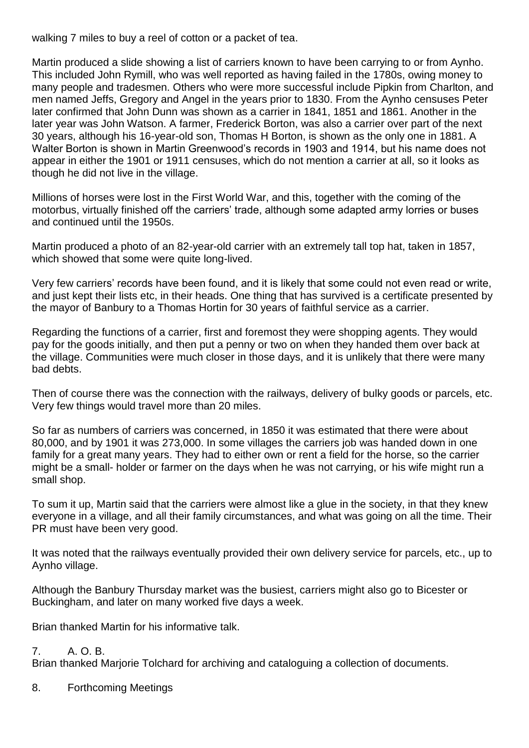walking 7 miles to buy a reel of cotton or a packet of tea.

Martin produced a slide showing a list of carriers known to have been carrying to or from Aynho. This included John Rymill, who was well reported as having failed in the 1780s, owing money to many people and tradesmen. Others who were more successful include Pipkin from Charlton, and men named Jeffs, Gregory and Angel in the years prior to 1830. From the Aynho censuses Peter later confirmed that John Dunn was shown as a carrier in 1841, 1851 and 1861. Another in the later year was John Watson. A farmer, Frederick Borton, was also a carrier over part of the next 30 years, although his 16-year-old son, Thomas H Borton, is shown as the only one in 1881. A Walter Borton is shown in Martin Greenwood's records in 1903 and 1914, but his name does not appear in either the 1901 or 1911 censuses, which do not mention a carrier at all, so it looks as though he did not live in the village.

Millions of horses were lost in the First World War, and this, together with the coming of the motorbus, virtually finished off the carriers' trade, although some adapted army lorries or buses and continued until the 1950s.

Martin produced a photo of an 82-year-old carrier with an extremely tall top hat, taken in 1857, which showed that some were quite long-lived.

Very few carriers' records have been found, and it is likely that some could not even read or write, and just kept their lists etc, in their heads. One thing that has survived is a certificate presented by the mayor of Banbury to a Thomas Hortin for 30 years of faithful service as a carrier.

Regarding the functions of a carrier, first and foremost they were shopping agents. They would pay for the goods initially, and then put a penny or two on when they handed them over back at the village. Communities were much closer in those days, and it is unlikely that there were many bad debts.

Then of course there was the connection with the railways, delivery of bulky goods or parcels, etc. Very few things would travel more than 20 miles.

So far as numbers of carriers was concerned, in 1850 it was estimated that there were about 80,000, and by 1901 it was 273,000. In some villages the carriers job was handed down in one family for a great many years. They had to either own or rent a field for the horse, so the carrier might be a small- holder or farmer on the days when he was not carrying, or his wife might run a small shop.

To sum it up, Martin said that the carriers were almost like a glue in the society, in that they knew everyone in a village, and all their family circumstances, and what was going on all the time. Their PR must have been very good.

It was noted that the railways eventually provided their own delivery service for parcels, etc., up to Aynho village.

Although the Banbury Thursday market was the busiest, carriers might also go to Bicester or Buckingham, and later on many worked five days a week.

Brian thanked Martin for his informative talk.

## $7 \overline{\phantom{a}}$   $A \overline{\phantom{a}}$  $B$

Brian thanked Marjorie Tolchard for archiving and cataloguing a collection of documents.

8. Forthcoming Meetings